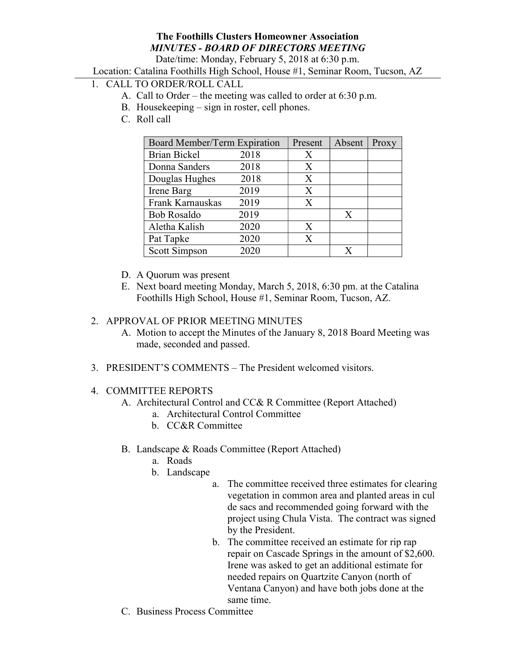# The Foothills Clusters Homeowner Association MINUTES - BOARD OF DIRECTORS MEETING

Date/time: Monday, February 5, 2018 at 6:30 p.m.

Location: Catalina Foothills High School, House #1, Seminar Room, Tucson, AZ

# 1. CALL TO ORDER/ROLL CALL

- A. Call to Order the meeting was called to order at 6:30 p.m.
- B. Housekeeping sign in roster, cell phones.
- C. Roll call

| Board Member/Term Expiration |      | Present | Absent | Proxy |
|------------------------------|------|---------|--------|-------|
| <b>Brian Bickel</b>          | 2018 | X       |        |       |
| Donna Sanders                | 2018 | X       |        |       |
| Douglas Hughes               | 2018 | X       |        |       |
| Irene Barg                   | 2019 | X       |        |       |
| Frank Karnauskas             | 2019 | X       |        |       |
| <b>Bob Rosaldo</b>           | 2019 |         | X      |       |
| Aletha Kalish                | 2020 | X       |        |       |
| Pat Tapke                    | 2020 | X       |        |       |
| Scott Simpson                | 2020 |         |        |       |

- D. A Quorum was present
- E. Next board meeting Monday, March 5, 2018, 6:30 pm. at the Catalina Foothills High School, House #1, Seminar Room, Tucson, AZ.

#### 2. APPROVAL OF PRIOR MEETING MINUTES

- A. Motion to accept the Minutes of the January 8, 2018 Board Meeting was made, seconded and passed.
- 3. PRESIDENT'S COMMENTS The President welcomed visitors.

#### 4. COMMITTEE REPORTS

- A. Architectural Control and CC& R Committee (Report Attached)
	- a. Architectural Control Committee
	- b. CC&R Committee
- B. Landscape & Roads Committee (Report Attached)
	- a. Roads
	- b. Landscape
		- a. The committee received three estimates for clearing vegetation in common area and planted areas in cul de sacs and recommended going forward with the project using Chula Vista. The contract was signed by the President.
		- b. The committee received an estimate for rip rap repair on Cascade Springs in the amount of \$2,600. Irene was asked to get an additional estimate for needed repairs on Quartzite Canyon (north of Ventana Canyon) and have both jobs done at the same time.
- C. Business Process Committee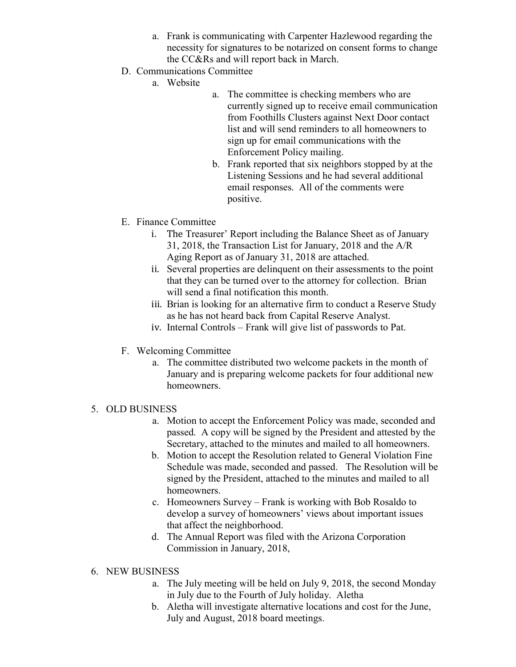- a. Frank is communicating with Carpenter Hazlewood regarding the necessity for signatures to be notarized on consent forms to change the CC&Rs and will report back in March.
- D. Communications Committee
	- a. Website
- a. The committee is checking members who are currently signed up to receive email communication from Foothills Clusters against Next Door contact list and will send reminders to all homeowners to sign up for email communications with the Enforcement Policy mailing.
- b. Frank reported that six neighbors stopped by at the Listening Sessions and he had several additional email responses. All of the comments were positive.
- E. Finance Committee
	- i. The Treasurer' Report including the Balance Sheet as of January 31, 2018, the Transaction List for January, 2018 and the A/R Aging Report as of January 31, 2018 are attached.
	- ii. Several properties are delinquent on their assessments to the point that they can be turned over to the attorney for collection. Brian will send a final notification this month.
	- iii. Brian is looking for an alternative firm to conduct a Reserve Study as he has not heard back from Capital Reserve Analyst.
	- iv. Internal Controls Frank will give list of passwords to Pat.
- F. Welcoming Committee
	- a. The committee distributed two welcome packets in the month of January and is preparing welcome packets for four additional new homeowners.
- 5. OLD BUSINESS
	- a. Motion to accept the Enforcement Policy was made, seconded and passed. A copy will be signed by the President and attested by the Secretary, attached to the minutes and mailed to all homeowners.
	- b. Motion to accept the Resolution related to General Violation Fine Schedule was made, seconded and passed. The Resolution will be signed by the President, attached to the minutes and mailed to all homeowners.
	- c. Homeowners Survey Frank is working with Bob Rosaldo to develop a survey of homeowners' views about important issues that affect the neighborhood.
	- d. The Annual Report was filed with the Arizona Corporation Commission in January, 2018,

### 6. NEW BUSINESS

- a. The July meeting will be held on July 9, 2018, the second Monday in July due to the Fourth of July holiday. Aletha
- b. Aletha will investigate alternative locations and cost for the June, July and August, 2018 board meetings.